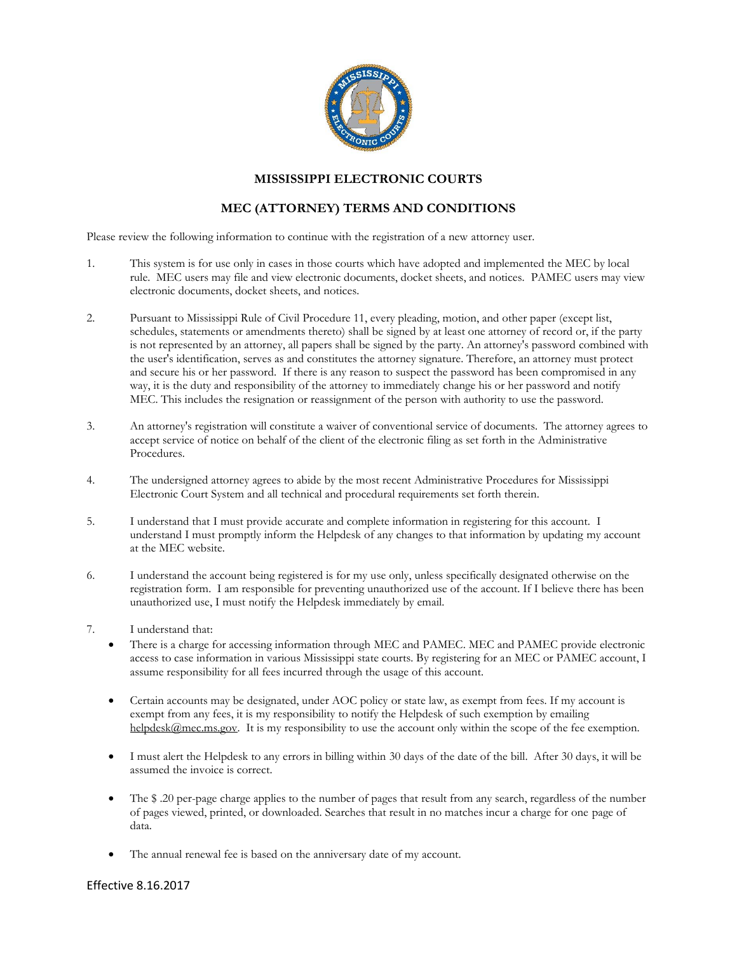

## **MISSISSIPPI ELECTRONIC COURTS**

## **MEC (ATTORNEY) TERMS AND CONDITIONS**

Please review the following information to continue with the registration of a new attorney user.

- 1. This system is for use only in cases in those courts which have adopted and implemented the MEC by local rule. MEC users may file and view electronic documents, docket sheets, and notices. PAMEC users may view electronic documents, docket sheets, and notices.
- 2. Pursuant to Mississippi Rule of Civil Procedure 11, every pleading, motion, and other paper (except list, schedules, statements or amendments thereto) shall be signed by at least one attorney of record or, if the party is not represented by an attorney, all papers shall be signed by the party. An attorney's password combined with the user's identification, serves as and constitutes the attorney signature. Therefore, an attorney must protect and secure his or her password. If there is any reason to suspect the password has been compromised in any way, it is the duty and responsibility of the attorney to immediately change his or her password and notify MEC. This includes the resignation or reassignment of the person with authority to use the password.
- 3. An attorney's registration will constitute a waiver of conventional service of documents. The attorney agrees to accept service of notice on behalf of the client of the electronic filing as set forth in the Administrative Procedures.
- 4. The undersigned attorney agrees to abide by the most recent Administrative Procedures for Mississippi Electronic Court System and all technical and procedural requirements set forth therein.
- 5. I understand that I must provide accurate and complete information in registering for this account. I understand I must promptly inform the Helpdesk of any changes to that information by updating my account at the MEC website.
- 6. I understand the account being registered is for my use only, unless specifically designated otherwise on the registration form. I am responsible for preventing unauthorized use of the account. If I believe there has been unauthorized use, I must notify the Helpdesk immediately by email.
- 7. I understand that:
	- There is a charge for accessing information through MEC and PAMEC. MEC and PAMEC provide electronic access to case information in various Mississippi state courts. By registering for an MEC or PAMEC account, I assume responsibility for all fees incurred through the usage of this account.
	- Certain accounts may be designated, under AOC policy or state law, as exempt from fees. If my account is exempt from any fees, it is my responsibility to notify the Helpdesk of such exemption by emailing [helpdesk@mec.ms.gov.](mailto:helpdesk@mec.ms.gov) It is my responsibility to use the account only within the scope of the fee exemption.
	- I must alert the Helpdesk to any errors in billing within 30 days of the date of the bill. After 30 days, it will be assumed the invoice is correct.
	- The \$ .20 per-page charge applies to the number of pages that result from any search, regardless of the number of pages viewed, printed, or downloaded. Searches that result in no matches incur a charge for one page of data.
	- The annual renewal fee is based on the anniversary date of my account.